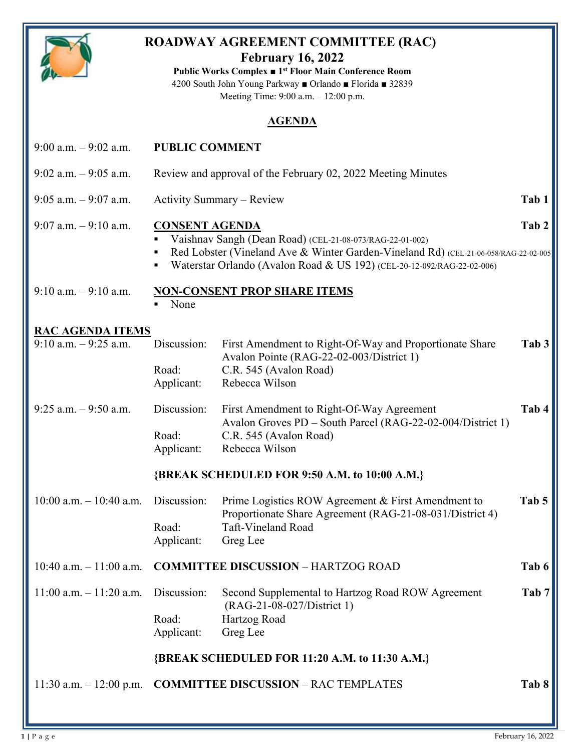